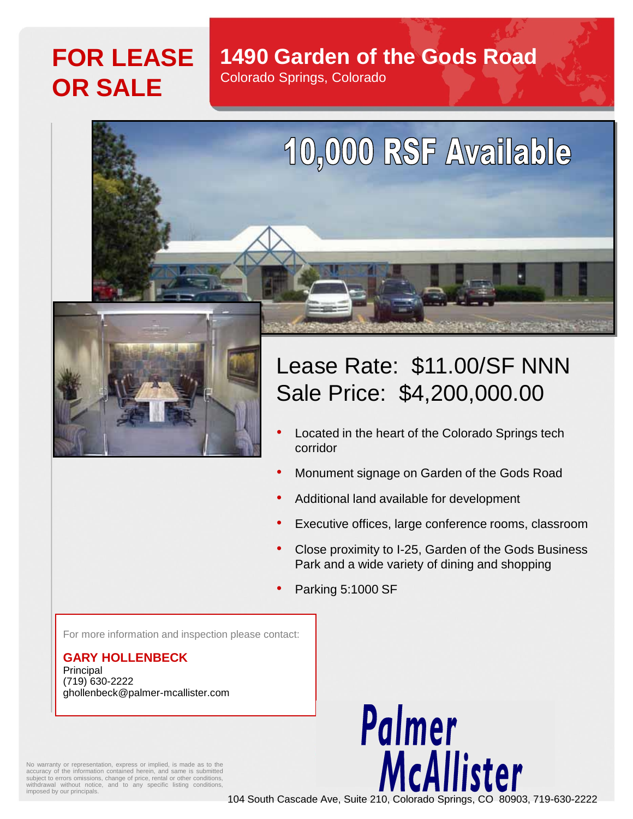## **FOR LEASE OR SALE**

### **1490 Garden of the Gods Road**

Colorado Springs, Colorado



# Lease Rate: \$11.00/SF NNN Sale Price: \$4,200,000.00

10,000 RSF Available

- Located in the heart of the Colorado Springs tech corridor
- Monument signage on Garden of the Gods Road
- Additional land available for development
- Executive offices, large conference rooms, classroom
- Close proximity to I-25, Garden of the Gods Business Park and a wide variety of dining and shopping
- Parking 5:1000 SF

For more information and inspection please contact:

#### **GARY HOLLENBECK** Principal (719) 630-2222 ghollenbeck@palmer-mcallister.com

Palmer McAllister

No warranty or representation, express or implied, is made as to the accuracy of the information contained herein, and same is submitted subject to errors omissions, change of price, rental or other conditions, withdrawal without notice, and to any specific listing conditions imposed by our principals.